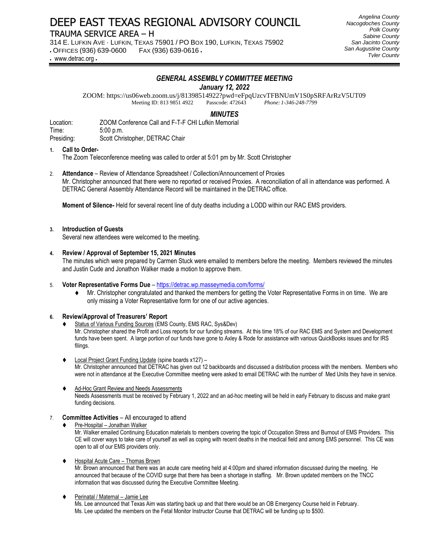# DEEP EAST TEXAS REGIONAL ADVISORY COUNCIL

# TRAUMA SERVICE AREA – H

314 E. LUFKIN AVE · LUFKIN, TEXAS 75901 / PO BOX 190, LUFKIN, TEXAS 75902

• OFFICES (936) 639-0600 FAX (936) 639-0616 •

• www.detrac.org •

#### *Angelina County Nacogdoches County Polk County Sabine County San Jacinto County San Augustine County Tyler County*

# *GENERAL ASSEMBLY COMMITTEE MEETING*

*January 12, 2022*

ZOOM: https://us06web.zoom.us/j/81398514922?pwd=eFpqUzcvTFBNUmV1S0pSRFArRzV5UT09 Meeting ID: 813 9851 4922

# *MINUTES*

Location: ZOOM Conference Call and F-T-F CHI Lufkin Memorial Time: 5:00 p.m.

Presiding: Scott Christopher, DETRAC Chair

# **1. Call to Order-**

The Zoom Teleconference meeting was called to order at 5:01 pm by Mr. Scott Christopher

2. **Attendance** – Review of Attendance Spreadsheet / Collection/Announcement of Proxies Mr. Christopher announced that there were no reported or received Proxies. A reconciliation of all in attendance was performed. A DETRAC General Assembly Attendance Record will be maintained in the DETRAC office.

**Moment of Silence-** Held for several recent line of duty deaths including a LODD within our RAC EMS providers.

#### **3. Introduction of Guests**

Several new attendees were welcomed to the meeting.

#### **4. Review / Approval of September 15, 2021 Minutes**

The minutes which were prepared by Carmen Stuck were emailed to members before the meeting. Members reviewed the minutes and Justin Cude and Jonathon Walker made a motion to approve them.

### 5. **Voter Representative Forms Due** – <https://detrac.wp.masseymedia.com/forms/>

⧫ Mr. Christopher congratulated and thanked the members for getting the Voter Representative Forms in on time. We are only missing a Voter Representative form for one of our active agencies.

#### **6. Review/Approval of Treasurers' Report**

- Status of Various Funding Sources (EMS County, EMS RAC, Sys&Dev) Mr. Christopher shared the Profit and Loss reports for our funding streams. At this time 18% of our RAC EMS and System and Development funds have been spent. A large portion of our funds have gone to Axley & Rode for assistance with various QuickBooks issues and for IRS filings.
- Local Project Grant Funding Update (spine boards x127) Mr. Christopher announced that DETRAC has given out 12 backboards and discussed a distribution process with the members. Members who were not in attendance at the Executive Committee meeting were asked to email DETRAC with the number of Med Units they have in service.
- Ad-Hoc Grant Review and Needs Assessments Needs Assessments must be received by February 1, 2022 and an ad-hoc meeting will be held in early February to discuss and make grant funding decisions.

#### 7. **Committee Activities** – All encouraged to attend

Pre-Hospital – Jonathan Walker

Mr. Walker emailed Continuing Education materials to members covering the topic of Occupation Stress and Burnout of EMS Providers. This CE will cover ways to take care of yourself as well as coping with recent deaths in the medical field and among EMS personnel. This CE was open to all of our EMS providers only.

#### Hospital Acute Care – Thomas Brown

Mr. Brown announced that there was an acute care meeting held at 4:00pm and shared information discussed during the meeting. He announced that because of the COVID surge that there has been a shortage in staffing. Mr. Brown updated members on the TNCC information that was discussed during the Executive Committee Meeting.

#### Perinatal / Maternal – Jamie Lee

Ms. Lee announced that Texas Aim was starting back up and that there would be an OB Emergency Course held in February. Ms. Lee updated the members on the Fetal Monitor Instructor Course that DETRAC will be funding up to \$500.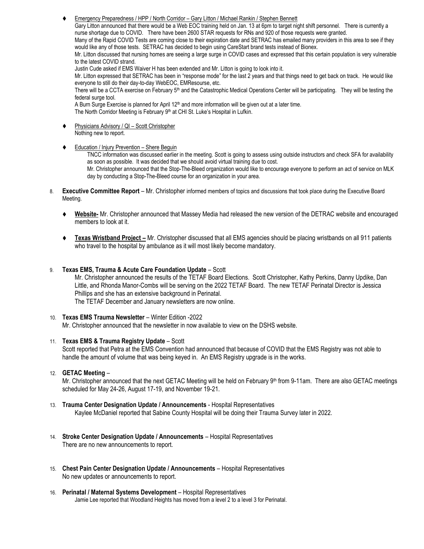Emergency Preparedness / HPP / North Corridor – Gary Litton / Michael Rankin / Stephen Bennett Gary Litton announced that there would be a Web EOC training held on Jan. 13 at 6pm to target night shift personnel. There is currently a nurse shortage due to COVID. There have been 2600 STAR requests for RNs and 920 of those requests were granted.

Many of the Rapid COVID Tests are coming close to their expiration date and SETRAC has emailed many providers in this area to see if they would like any of those tests. SETRAC has decided to begin using CareStart brand tests instead of Bionex.

Mr. Litton discussed that nursing homes are seeing a large surge in COVID cases and expressed that this certain population is very vulnerable to the latest COVID strand.

Justin Cude asked if EMS Waiver H has been extended and Mr. Litton is going to look into it.

Mr. Litton expressed that SETRAC has been in "response mode" for the last 2 years and that things need to get back on track. He would like everyone to still do their day-to-day WebEOC, EMResourse, etc.

There will be a CCTA exercise on February 5<sup>th</sup> and the Catastrophic Medical Operations Center will be participating. They will be testing the federal surge tool.

A Burn Surge Exercise is planned for April 12<sup>th</sup> and more information will be given out at a later time.

The North Corridor Meeting is February 9<sup>th</sup> at CHI St. Luke's Hospital in Lufkin.

- ⧫ Physicians Advisory / QI Scott Christopher Nothing new to report.
- Education / Injury Prevention Shere Beguin

TNCC information was discussed earlier in the meeting. Scott is going to assess using outside instructors and check SFA for availability as soon as possible. It was decided that we should avoid virtual training due to cost. Mr. Christopher announced that the Stop-The-Bleed organization would like to encourage everyone to perform an act of service on MLK day by conducting a Stop-The-Bleed course for an organization in your area.

- 8. **Executive Committee Report** Mr. Christopher informed members of topics and discussions that took place during the Executive Board Meeting.
	- ⧫ **Website-** Mr. Christopher announced that Massey Media had released the new version of the DETRAC website and encouraged members to look at it.
	- ⧫ **Texas Wristband Project –** Mr. Christopher discussed that all EMS agencies should be placing wristbands on all 911 patients who travel to the hospital by ambulance as it will most likely become mandatory.

#### 9. **Texas EMS, Trauma & Acute Care Foundation Update** – Scott

Mr. Christopher announced the results of the TETAF Board Elections. Scott Christopher, Kathy Perkins, Danny Updike, Dan Little, and Rhonda Manor-Combs will be serving on the 2022 TETAF Board. The new TETAF Perinatal Director is Jessica Phillips and she has an extensive background in Perinatal. The TETAF December and January newsletters are now online.

10. **Texas EMS Trauma Newsletter** – Winter Edition -2022

Mr. Christopher announced that the newsletter in now available to view on the DSHS website.

#### 11. **Texas EMS & Trauma Registry Update** – Scott

Scott reported that Petra at the EMS Convention had announced that because of COVID that the EMS Registry was not able to handle the amount of volume that was being keyed in. An EMS Registry upgrade is in the works.

#### 12. **GETAC Meeting** –

Mr. Christopher announced that the next GETAC Meeting will be held on February 9<sup>th</sup> from 9-11am. There are also GETAC meetings scheduled for May 24-26, August 17-19, and November 19-21.

- 13. **Trauma Center Designation Update / Announcements** Hospital Representatives Kaylee McDaniel reported that Sabine County Hospital will be doing their Trauma Survey later in 2022.
- 14. **Stroke Center Designation Update / Announcements** Hospital Representatives There are no new announcements to report.
- 15. **Chest Pain Center Designation Update / Announcements** Hospital Representatives No new updates or announcements to report.
- 16. **Perinatal / Maternal Systems Development** Hospital Representatives Jamie Lee reported that Woodland Heights has moved from a level 2 to a level 3 for Perinatal.